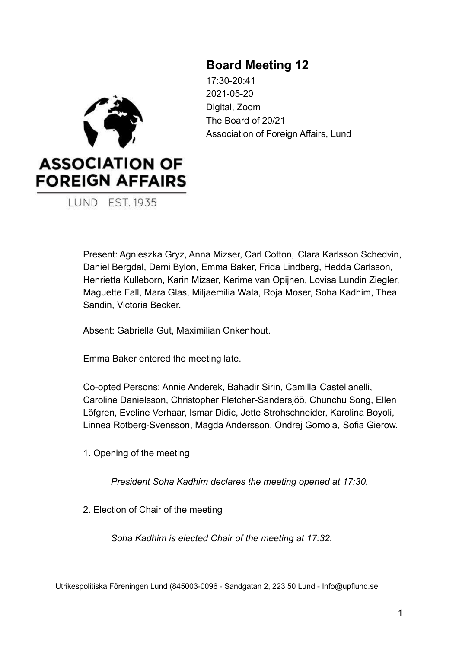# **Board Meeting 12**



17:30-20:41 2021-05-20 Digital, Zoom The Board of 20/21 Association of Foreign Affairs, Lund

Present: Agnieszka Gryz, Anna Mizser, Carl Cotton, Clara Karlsson Schedvin, Daniel Bergdal, Demi Bylon, Emma Baker, Frida Lindberg, Hedda Carlsson, Henrietta Kulleborn, Karin Mizser, Kerime van Opijnen, Lovisa Lundin Ziegler, Maguette Fall, Mara Glas, Miljaemilia Wala, Roja Moser, Soha Kadhim, Thea Sandin, Victoria Becker.

Absent: Gabriella Gut, Maximilian Onkenhout.

Emma Baker entered the meeting late.

Co-opted Persons: Annie Anderek, Bahadir Sirin, Camilla Castellanelli, Caroline Danielsson, Christopher Fletcher-Sandersjöö, Chunchu Song, Ellen Löfgren, Eveline Verhaar, Ismar Didic, Jette Strohschneider, Karolina Boyoli, Linnea Rotberg-Svensson, Magda Andersson, Ondrej Gomola, Sofia Gierow.

1. Opening of the meeting

*President Soha Kadhim declares the meeting opened at 17:30.*

2. Election of Chair of the meeting

*Soha Kadhim is elected Chair of the meeting at 17:32.*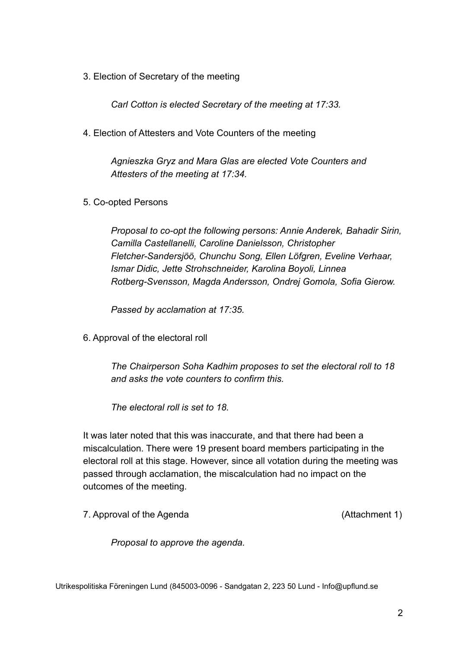3. Election of Secretary of the meeting

*Carl Cotton is elected Secretary of the meeting at 17:33.*

4. Election of Attesters and Vote Counters of the meeting

*Agnieszka Gryz and Mara Glas are elected Vote Counters and Attesters of the meeting at 17:34.*

5. Co-opted Persons

*Proposal to co-opt the following persons: Annie Anderek, Bahadir Sirin, Camilla Castellanelli, Caroline Danielsson, Christopher Fletcher-Sandersjöö, Chunchu Song, Ellen Löfgren, Eveline Verhaar, Ismar Didic, Jette Strohschneider, Karolina Boyoli, Linnea Rotberg-Svensson, Magda Andersson, Ondrej Gomola, Sofia Gierow.*

*Passed by acclamation at 17:35.*

6. Approval of the electoral roll

*The Chairperson Soha Kadhim proposes to set the electoral roll to 18 and asks the vote counters to confirm this.*

*The electoral roll is set to 18.*

It was later noted that this was inaccurate, and that there had been a miscalculation. There were 19 present board members participating in the electoral roll at this stage. However, since all votation during the meeting was passed through acclamation, the miscalculation had no impact on the outcomes of the meeting.

7. Approval of the Agenda (Attachment 1)

*Proposal to approve the agenda.*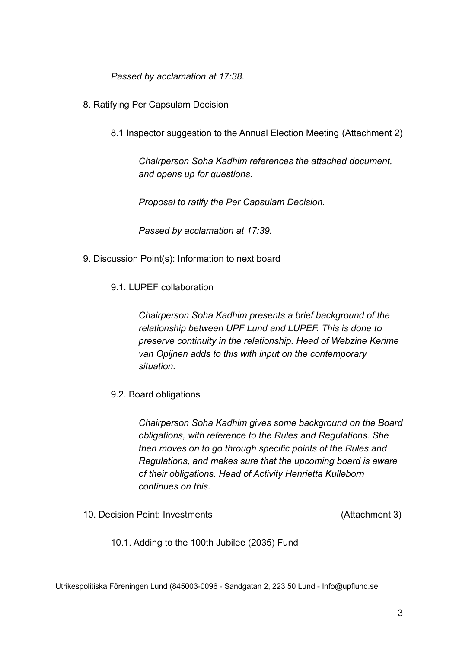*Passed by acclamation at 17:38.*

- 8. Ratifying Per Capsulam Decision
	- 8.1 Inspector suggestion to the Annual Election Meeting (Attachment 2)

*Chairperson Soha Kadhim references the attached document, and opens up for questions.*

*Proposal to ratify the Per Capsulam Decision.*

*Passed by acclamation at 17:39.*

- 9. Discussion Point(s): Information to next board
	- 9.1. LUPEF collaboration

*Chairperson Soha Kadhim presents a brief background of the relationship between UPF Lund and LUPEF. This is done to preserve continuity in the relationship. Head of Webzine Kerime van Opijnen adds to this with input on the contemporary situation.*

9.2. Board obligations

*Chairperson Soha Kadhim gives some background on the Board obligations, with reference to the Rules and Regulations. She then moves on to go through specific points of the Rules and Regulations, and makes sure that the upcoming board is aware of their obligations. Head of Activity Henrietta Kulleborn continues on this.*

10. Decision Point: Investments (Attachment 3)

10.1. Adding to the 100th Jubilee (2035) Fund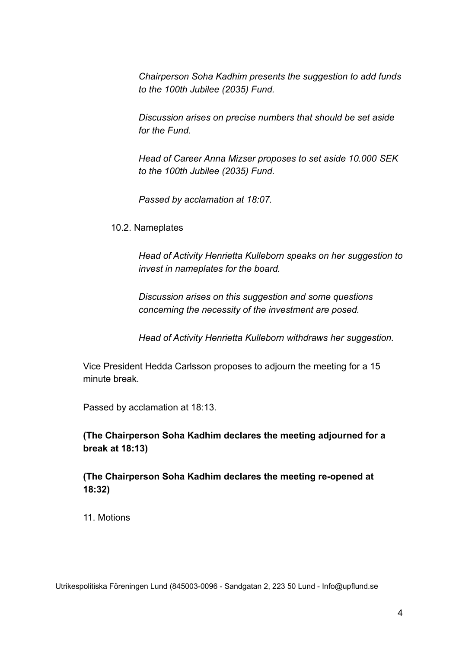*Chairperson Soha Kadhim presents the suggestion to add funds to the 100th Jubilee (2035) Fund.*

*Discussion arises on precise numbers that should be set aside for the Fund.*

*Head of Career Anna Mizser proposes to set aside 10.000 SEK to the 100th Jubilee (2035) Fund.*

*Passed by acclamation at 18:07.*

10.2. Nameplates

*Head of Activity Henrietta Kulleborn speaks on her suggestion to invest in nameplates for the board.*

*Discussion arises on this suggestion and some questions concerning the necessity of the investment are posed.*

*Head of Activity Henrietta Kulleborn withdraws her suggestion.*

Vice President Hedda Carlsson proposes to adjourn the meeting for a 15 minute break.

Passed by acclamation at 18:13.

**(The Chairperson Soha Kadhim declares the meeting adjourned for a break at 18:13)**

**(The Chairperson Soha Kadhim declares the meeting re-opened at 18:32)**

11. Motions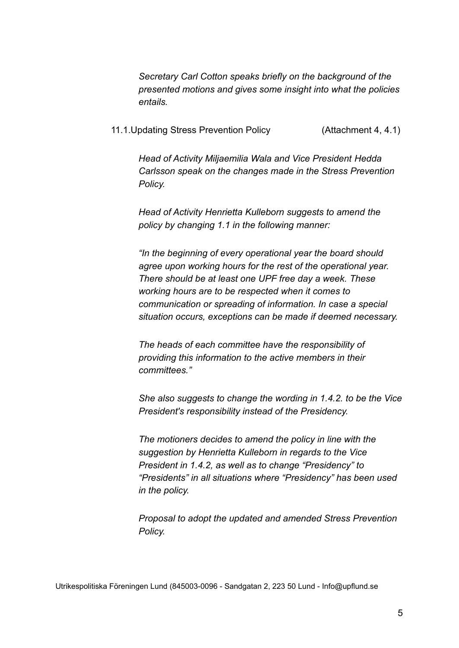*Secretary Carl Cotton speaks briefly on the background of the presented motions and gives some insight into what the policies entails.*

11.1.Updating Stress Prevention Policy (Attachment 4, 4.1)

*Head of Activity Miljaemilia Wala and Vice President Hedda Carlsson speak on the changes made in the Stress Prevention Policy.*

*Head of Activity Henrietta Kulleborn suggests to amend the policy by changing 1.1 in the following manner:*

*"In the beginning of every operational year the board should agree upon working hours for the rest of the operational year. There should be at least one UPF free day a week. These working hours are to be respected when it comes to communication or spreading of information. In case a special situation occurs, exceptions can be made if deemed necessary.*

*The heads of each committee have the responsibility of providing this information to the active members in their committees."*

*She also suggests to change the wording in 1.4.2. to be the Vice President's responsibility instead of the Presidency.*

*The motioners decides to amend the policy in line with the suggestion by Henrietta Kulleborn in regards to the Vice President in 1.4.2, as well as to change "Presidency" to "Presidents" in all situations where "Presidency" has been used in the policy.*

*Proposal to adopt the updated and amended Stress Prevention Policy.*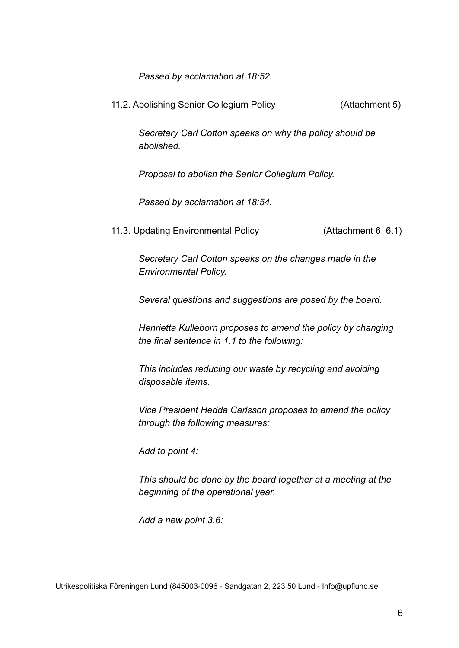*Passed by acclamation at 18:52.*

11.2. Abolishing Senior Collegium Policy (Attachment 5)

*Secretary Carl Cotton speaks on why the policy should be abolished.*

*Proposal to abolish the Senior Collegium Policy.*

*Passed by acclamation at 18:54.*

11.3. Updating Environmental Policy (Attachment 6, 6.1)

*Secretary Carl Cotton speaks on the changes made in the Environmental Policy.*

*Several questions and suggestions are posed by the board.*

*Henrietta Kulleborn proposes to amend the policy by changing the final sentence in 1.1 to the following:*

*This includes reducing our waste by recycling and avoiding disposable items.*

*Vice President Hedda Carlsson proposes to amend the policy through the following measures:*

*Add to point 4:*

*This should be done by the board together at a meeting at the beginning of the operational year.*

*Add a new point 3.6:*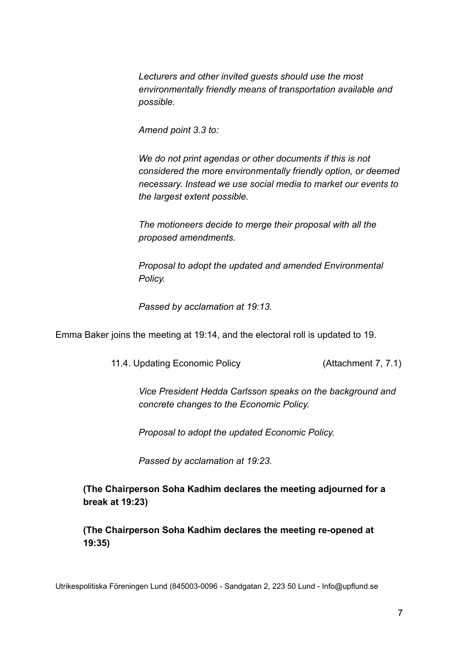*Lecturers and other invited guests should use the most environmentally friendly means of transportation available and possible.*

*Amend point 3.3 to:*

*We do not print agendas or other documents if this is not considered the more environmentally friendly option, or deemed necessary. Instead we use social media to market our events to the largest extent possible.*

*The motioneers decide to merge their proposal with all the proposed amendments.*

*Proposal to adopt the updated and amended Environmental Policy.*

*Passed by acclamation at 19:13.*

Emma Baker joins the meeting at 19:14, and the electoral roll is updated to 19.

11.4. Updating Economic Policy (Attachment 7, 7.1)

*Vice President Hedda Carlsson speaks on the background and concrete changes to the Economic Policy.*

*Proposal to adopt the updated Economic Policy.*

*Passed by acclamation at 19:23.*

**(The Chairperson Soha Kadhim declares the meeting adjourned for a break at 19:23)**

**(The Chairperson Soha Kadhim declares the meeting re-opened at 19:35)**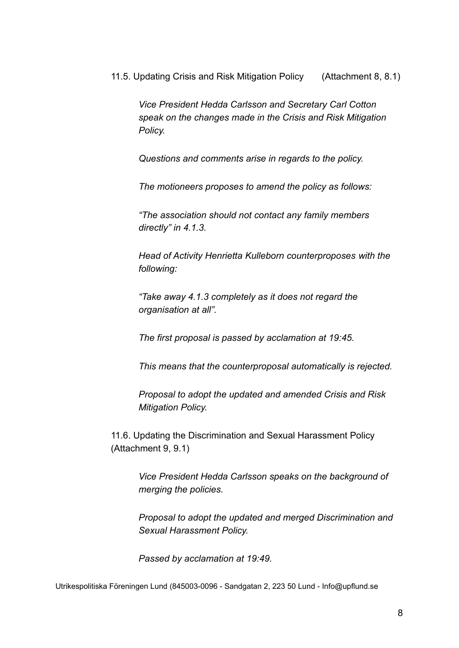11.5. Updating Crisis and Risk Mitigation Policy (Attachment 8, 8.1)

*Vice President Hedda Carlsson and Secretary Carl Cotton speak on the changes made in the Crisis and Risk Mitigation Policy.*

*Questions and comments arise in regards to the policy.*

*The motioneers proposes to amend the policy as follows:*

*"The association should not contact any family members directly" in 4.1.3.*

*Head of Activity Henrietta Kulleborn counterproposes with the following:*

*"Take away 4.1.3 completely as it does not regard the organisation at all".*

*The first proposal is passed by acclamation at 19:45.*

*This means that the counterproposal automatically is rejected.*

*Proposal to adopt the updated and amended Crisis and Risk Mitigation Policy.*

11.6. Updating the Discrimination and Sexual Harassment Policy (Attachment 9, 9.1)

> *Vice President Hedda Carlsson speaks on the background of merging the policies.*

*Proposal to adopt the updated and merged Discrimination and Sexual Harassment Policy.*

*Passed by acclamation at 19:49.*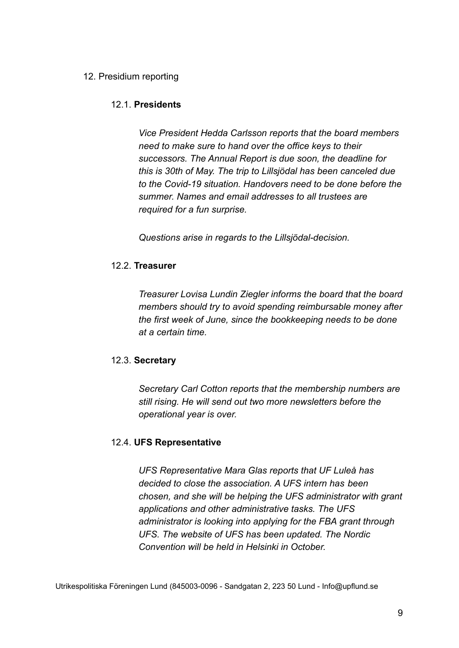## 12. Presidium reporting

## 12.1. **Presidents**

*Vice President Hedda Carlsson reports that the board members need to make sure to hand over the office keys to their successors. The Annual Report is due soon, the deadline for this is 30th of May. The trip to Lillsjödal has been canceled due to the Covid-19 situation. Handovers need to be done before the summer. Names and email addresses to all trustees are required for a fun surprise.*

*Questions arise in regards to the Lillsjödal-decision.*

## 12.2. **Treasurer**

*Treasurer Lovisa Lundin Ziegler informs the board that the board members should try to avoid spending reimbursable money after the first week of June, since the bookkeeping needs to be done at a certain time.*

## 12.3. **Secretary**

*Secretary Carl Cotton reports that the membership numbers are still rising. He will send out two more newsletters before the operational year is over.*

## 12.4. **UFS Representative**

*UFS Representative Mara Glas reports that UF Luleå has decided to close the association. A UFS intern has been chosen, and she will be helping the UFS administrator with grant applications and other administrative tasks. The UFS administrator is looking into applying for the FBA grant through UFS. The website of UFS has been updated. The Nordic Convention will be held in Helsinki in October.*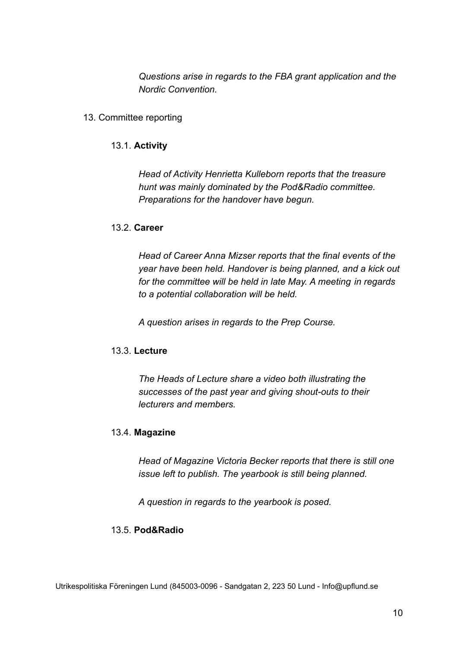*Questions arise in regards to the FBA grant application and the Nordic Convention.*

### 13. Committee reporting

### 13.1. **Activity**

*Head of Activity Henrietta Kulleborn reports that the treasure hunt was mainly dominated by the Pod&Radio committee. Preparations for the handover have begun.*

### 13.2. **Career**

*Head of Career Anna Mizser reports that the final events of the year have been held. Handover is being planned, and a kick out for the committee will be held in late May. A meeting in regards to a potential collaboration will be held.*

*A question arises in regards to the Prep Course.*

## 13.3. **Lecture**

*The Heads of Lecture share a video both illustrating the successes of the past year and giving shout-outs to their lecturers and members.*

## 13.4. **Magazine**

*Head of Magazine Victoria Becker reports that there is still one issue left to publish. The yearbook is still being planned.*

*A question in regards to the yearbook is posed.*

## 13.5. **Pod&Radio**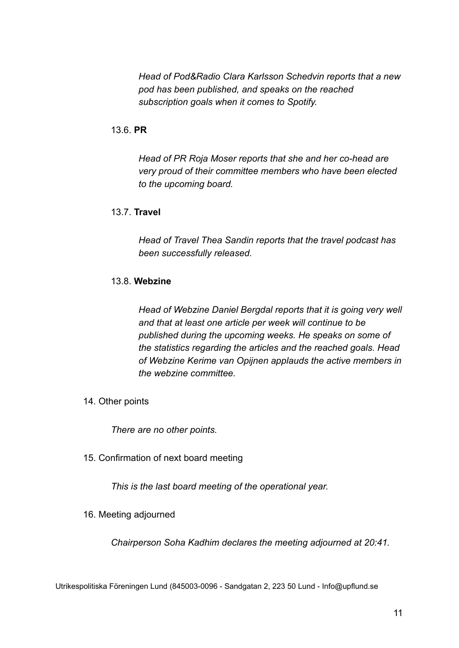*Head of Pod&Radio Clara Karlsson Schedvin reports that a new pod has been published, and speaks on the reached subscription goals when it comes to Spotify.*

## 13.6. **PR**

*Head of PR Roja Moser reports that she and her co-head are very proud of their committee members who have been elected to the upcoming board.*

## 13.7. **Travel**

*Head of Travel Thea Sandin reports that the travel podcast has been successfully released.*

## 13.8. **Webzine**

*Head of Webzine Daniel Bergdal reports that it is going very well and that at least one article per week will continue to be published during the upcoming weeks. He speaks on some of the statistics regarding the articles and the reached goals. Head of Webzine Kerime van Opijnen applauds the active members in the webzine committee.*

14. Other points

*There are no other points.*

15. Confirmation of next board meeting

*This is the last board meeting of the operational year.*

16. Meeting adjourned

*Chairperson Soha Kadhim declares the meeting adjourned at 20:41.*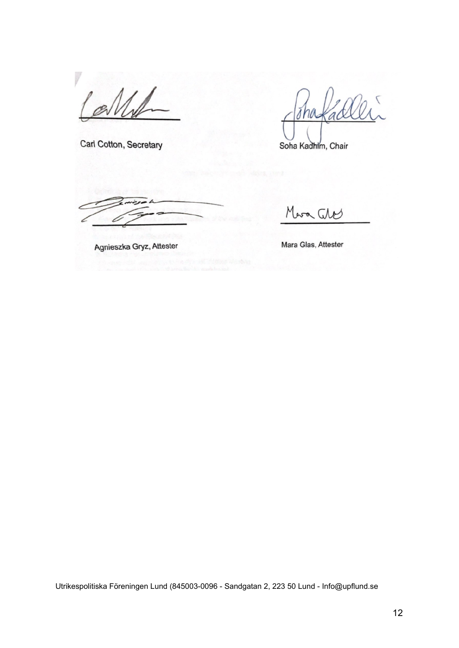Carl Cotton, Secretary

Soha Kadhim, Chair

Agnieszka Gryz, Attester

Mara Ches

Mara Glas, Attester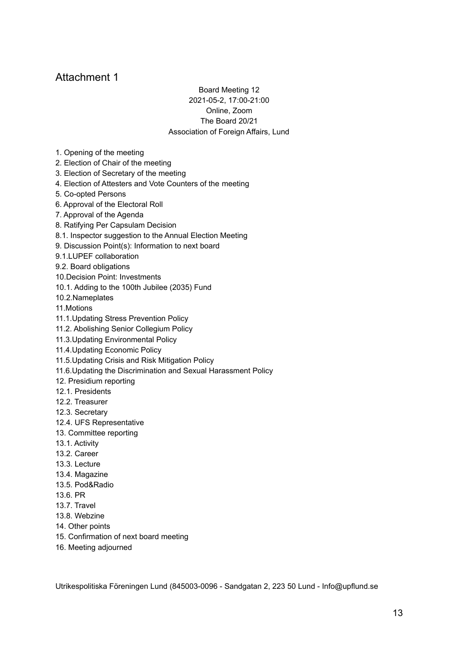#### Board Meeting 12 2021-05-2, 17:00-21:00 Online, Zoom The Board 20/21 Association of Foreign Affairs, Lund

- 1. Opening of the meeting
- 2. Election of Chair of the meeting
- 3. Election of Secretary of the meeting
- 4. Election of Attesters and Vote Counters of the meeting
- 5. Co-opted Persons
- 6. Approval of the Electoral Roll
- 7. Approval of the Agenda
- 8. Ratifying Per Capsulam Decision
- 8.1. Inspector suggestion to the Annual Election Meeting
- 9. Discussion Point(s): Information to next board
- 9.1.LUPEF collaboration
- 9.2. Board obligations
- 10.Decision Point: Investments
- 10.1. Adding to the 100th Jubilee (2035) Fund
- 10.2.Nameplates
- 11.Motions
- 11.1.Updating Stress Prevention Policy
- 11.2. Abolishing Senior Collegium Policy
- 11.3.Updating Environmental Policy
- 11.4.Updating Economic Policy
- 11.5.Updating Crisis and Risk Mitigation Policy
- 11.6.Updating the Discrimination and Sexual Harassment Policy
- 12. Presidium reporting
- 12.1. Presidents
- 12.2. Treasurer
- 12.3. Secretary
- 12.4. UFS Representative
- 13. Committee reporting
- 13.1. Activity
- 13.2. Career
- 13.3. Lecture
- 13.4. Magazine
- 13.5. Pod&Radio
- 13.6. PR
- 13.7. Travel
- 13.8. Webzine
- 14. Other points
- 15. Confirmation of next board meeting
- 16. Meeting adjourned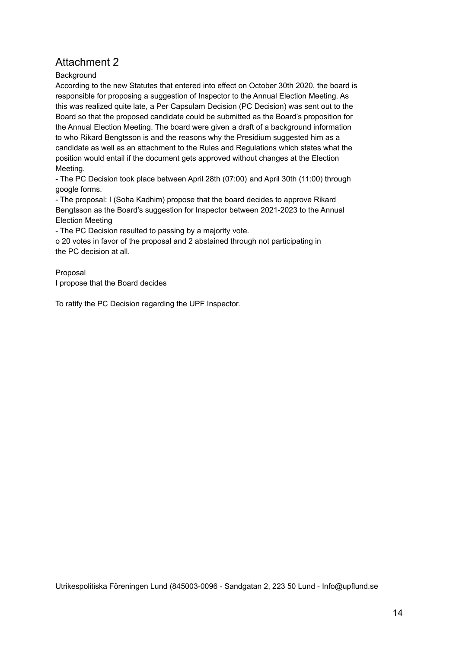### **Background**

According to the new Statutes that entered into effect on October 30th 2020, the board is responsible for proposing a suggestion of Inspector to the Annual Election Meeting. As this was realized quite late, a Per Capsulam Decision (PC Decision) was sent out to the Board so that the proposed candidate could be submitted as the Board's proposition for the Annual Election Meeting. The board were given a draft of a background information to who Rikard Bengtsson is and the reasons why the Presidium suggested him as a candidate as well as an attachment to the Rules and Regulations which states what the position would entail if the document gets approved without changes at the Election Meeting.

- The PC Decision took place between April 28th (07:00) and April 30th (11:00) through google forms.

- The proposal: I (Soha Kadhim) propose that the board decides to approve Rikard Bengtsson as the Board's suggestion for Inspector between 2021-2023 to the Annual Election Meeting

- The PC Decision resulted to passing by a majority vote.

o 20 votes in favor of the proposal and 2 abstained through not participating in the PC decision at all.

### Proposal I propose that the Board decides

To ratify the PC Decision regarding the UPF Inspector.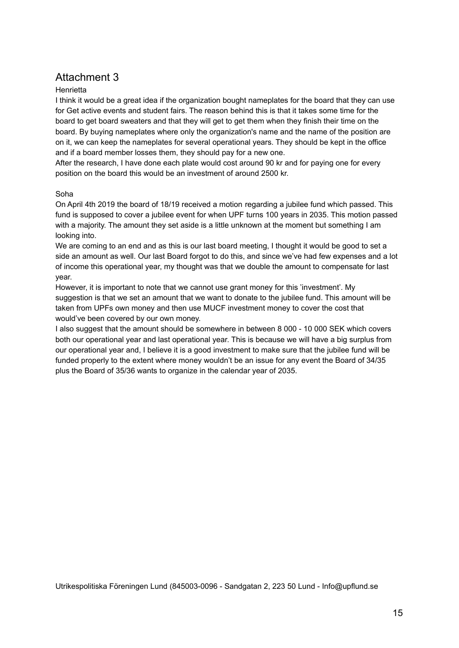#### **Henrietta**

I think it would be a great idea if the organization bought nameplates for the board that they can use for Get active events and student fairs. The reason behind this is that it takes some time for the board to get board sweaters and that they will get to get them when they finish their time on the board. By buying nameplates where only the organization's name and the name of the position are on it, we can keep the nameplates for several operational years. They should be kept in the office and if a board member losses them, they should pay for a new one.

After the research, I have done each plate would cost around 90 kr and for paying one for every position on the board this would be an investment of around 2500 kr.

#### Soha

On April 4th 2019 the board of 18/19 received a motion regarding a jubilee fund which passed. This fund is supposed to cover a jubilee event for when UPF turns 100 years in 2035. This motion passed with a majority. The amount they set aside is a little unknown at the moment but something I am looking into.

We are coming to an end and as this is our last board meeting, I thought it would be good to set a side an amount as well. Our last Board forgot to do this, and since we've had few expenses and a lot of income this operational year, my thought was that we double the amount to compensate for last year.

However, it is important to note that we cannot use grant money for this 'investment'. My suggestion is that we set an amount that we want to donate to the jubilee fund. This amount will be taken from UPFs own money and then use MUCF investment money to cover the cost that would've been covered by our own money.

I also suggest that the amount should be somewhere in between 8 000 - 10 000 SEK which covers both our operational year and last operational year. This is because we will have a big surplus from our operational year and, I believe it is a good investment to make sure that the jubilee fund will be funded properly to the extent where money wouldn't be an issue for any event the Board of 34/35 plus the Board of 35/36 wants to organize in the calendar year of 2035.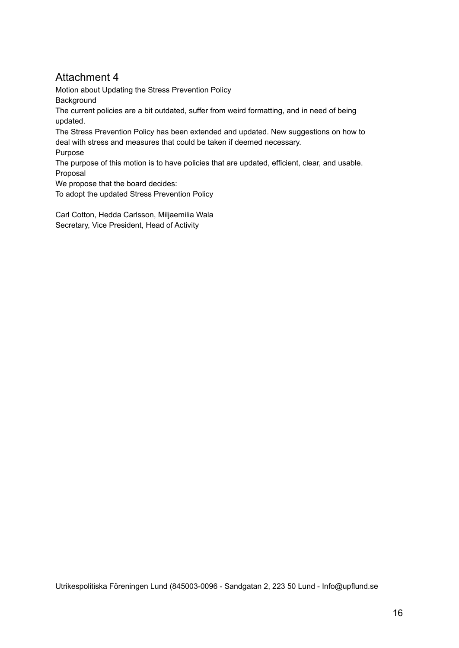Motion about Updating the Stress Prevention Policy **Background** The current policies are a bit outdated, suffer from weird formatting, and in need of being updated.

The Stress Prevention Policy has been extended and updated. New suggestions on how to deal with stress and measures that could be taken if deemed necessary.

Purpose

The purpose of this motion is to have policies that are updated, efficient, clear, and usable. Proposal

We propose that the board decides:

To adopt the updated Stress Prevention Policy

Carl Cotton, Hedda Carlsson, Miljaemilia Wala Secretary, Vice President, Head of Activity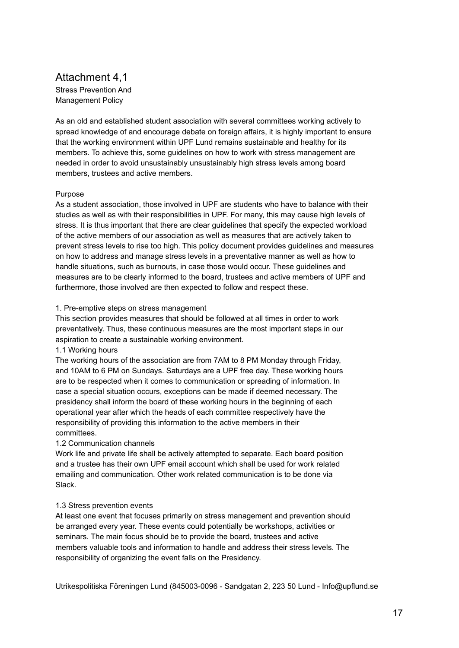### Attachment 4,1 Stress Prevention And Management Policy

As an old and established student association with several committees working actively to spread knowledge of and encourage debate on foreign affairs, it is highly important to ensure that the working environment within UPF Lund remains sustainable and healthy for its members. To achieve this, some guidelines on how to work with stress management are needed in order to avoid unsustainably unsustainably high stress levels among board members, trustees and active members.

#### Purpose

As a student association, those involved in UPF are students who have to balance with their studies as well as with their responsibilities in UPF. For many, this may cause high levels of stress. It is thus important that there are clear guidelines that specify the expected workload of the active members of our association as well as measures that are actively taken to prevent stress levels to rise too high. This policy document provides guidelines and measures on how to address and manage stress levels in a preventative manner as well as how to handle situations, such as burnouts, in case those would occur. These guidelines and measures are to be clearly informed to the board, trustees and active members of UPF and furthermore, those involved are then expected to follow and respect these.

#### 1. Pre-emptive steps on stress management

This section provides measures that should be followed at all times in order to work preventatively. Thus, these continuous measures are the most important steps in our aspiration to create a sustainable working environment.

1.1 Working hours

The working hours of the association are from 7AM to 8 PM Monday through Friday, and 10AM to 6 PM on Sundays. Saturdays are a UPF free day. These working hours are to be respected when it comes to communication or spreading of information. In case a special situation occurs, exceptions can be made if deemed necessary. The presidency shall inform the board of these working hours in the beginning of each operational year after which the heads of each committee respectively have the responsibility of providing this information to the active members in their committees.

#### 1.2 Communication channels

Work life and private life shall be actively attempted to separate. Each board position and a trustee has their own UPF email account which shall be used for work related emailing and communication. Other work related communication is to be done via Slack.

#### 1.3 Stress prevention events

At least one event that focuses primarily on stress management and prevention should be arranged every year. These events could potentially be workshops, activities or seminars. The main focus should be to provide the board, trustees and active members valuable tools and information to handle and address their stress levels. The responsibility of organizing the event falls on the Presidency.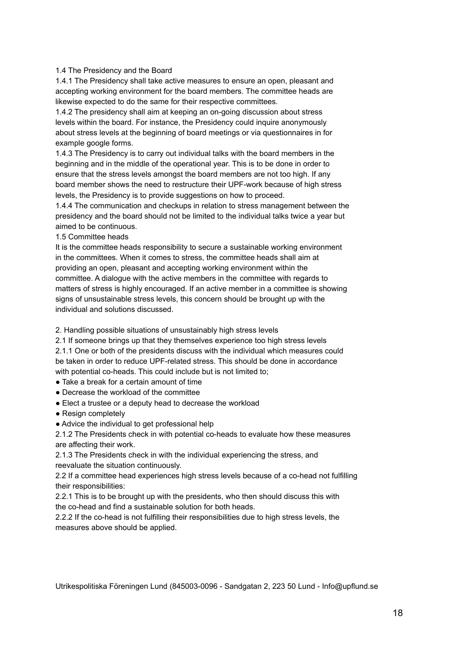#### 1.4 The Presidency and the Board

1.4.1 The Presidency shall take active measures to ensure an open, pleasant and accepting working environment for the board members. The committee heads are likewise expected to do the same for their respective committees.

1.4.2 The presidency shall aim at keeping an on-going discussion about stress levels within the board. For instance, the Presidency could inquire anonymously about stress levels at the beginning of board meetings or via questionnaires in for example google forms.

1.4.3 The Presidency is to carry out individual talks with the board members in the beginning and in the middle of the operational year. This is to be done in order to ensure that the stress levels amongst the board members are not too high. If any board member shows the need to restructure their UPF-work because of high stress levels, the Presidency is to provide suggestions on how to proceed.

1.4.4 The communication and checkups in relation to stress management between the presidency and the board should not be limited to the individual talks twice a year but aimed to be continuous.

1.5 Committee heads

It is the committee heads responsibility to secure a sustainable working environment in the committees. When it comes to stress, the committee heads shall aim at providing an open, pleasant and accepting working environment within the committee. A dialogue with the active members in the committee with regards to matters of stress is highly encouraged. If an active member in a committee is showing signs of unsustainable stress levels, this concern should be brought up with the individual and solutions discussed.

2. Handling possible situations of unsustainably high stress levels

2.1 If someone brings up that they themselves experience too high stress levels 2.1.1 One or both of the presidents discuss with the individual which measures could be taken in order to reduce UPF-related stress. This should be done in accordance with potential co-heads. This could include but is not limited to:

- Take a break for a certain amount of time
- Decrease the workload of the committee
- Elect a trustee or a deputy head to decrease the workload
- Resign completely
- Advice the individual to get professional help

2.1.2 The Presidents check in with potential co-heads to evaluate how these measures are affecting their work.

2.1.3 The Presidents check in with the individual experiencing the stress, and reevaluate the situation continuously.

2.2 If a committee head experiences high stress levels because of a co-head not fulfilling their responsibilities:

2.2.1 This is to be brought up with the presidents, who then should discuss this with the co-head and find a sustainable solution for both heads.

2.2.2 If the co-head is not fulfilling their responsibilities due to high stress levels, the measures above should be applied.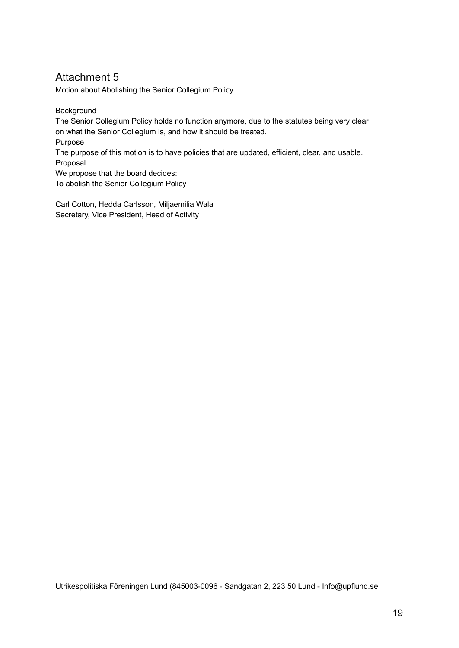Motion about Abolishing the Senior Collegium Policy

**Background** 

The Senior Collegium Policy holds no function anymore, due to the statutes being very clear on what the Senior Collegium is, and how it should be treated.

Purpose

The purpose of this motion is to have policies that are updated, efficient, clear, and usable. Proposal

We propose that the board decides:

To abolish the Senior Collegium Policy

Carl Cotton, Hedda Carlsson, Miljaemilia Wala Secretary, Vice President, Head of Activity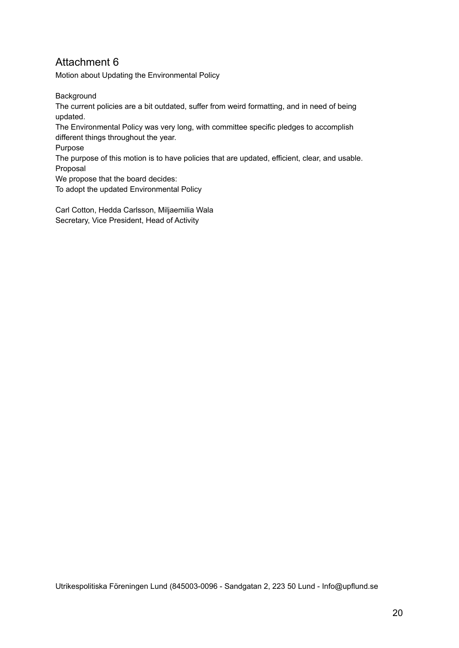Motion about Updating the Environmental Policy

**Background** 

The current policies are a bit outdated, suffer from weird formatting, and in need of being updated.

The Environmental Policy was very long, with committee specific pledges to accomplish different things throughout the year.

Purpose

The purpose of this motion is to have policies that are updated, efficient, clear, and usable. Proposal

We propose that the board decides:

To adopt the updated Environmental Policy

Carl Cotton, Hedda Carlsson, Miljaemilia Wala Secretary, Vice President, Head of Activity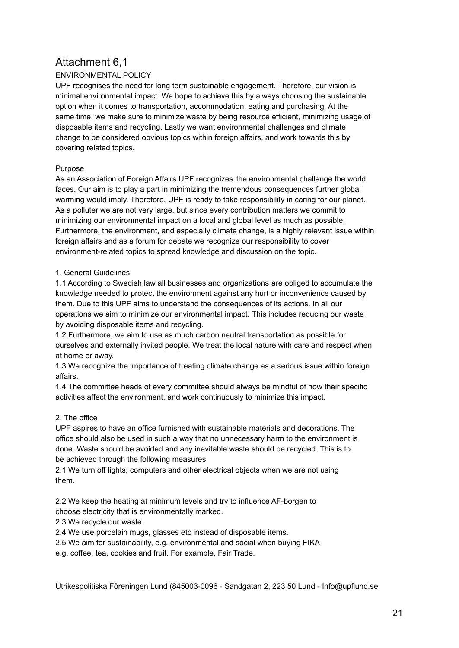## Attachment 6,1

## ENVIRONMENTAL POLICY

UPF recognises the need for long term sustainable engagement. Therefore, our vision is minimal environmental impact. We hope to achieve this by always choosing the sustainable option when it comes to transportation, accommodation, eating and purchasing. At the same time, we make sure to minimize waste by being resource efficient, minimizing usage of disposable items and recycling. Lastly we want environmental challenges and climate change to be considered obvious topics within foreign affairs, and work towards this by covering related topics.

#### Purpose

As an Association of Foreign Affairs UPF recognizes the environmental challenge the world faces. Our aim is to play a part in minimizing the tremendous consequences further global warming would imply. Therefore, UPF is ready to take responsibility in caring for our planet. As a polluter we are not very large, but since every contribution matters we commit to minimizing our environmental impact on a local and global level as much as possible. Furthermore, the environment, and especially climate change, is a highly relevant issue within foreign affairs and as a forum for debate we recognize our responsibility to cover environment-related topics to spread knowledge and discussion on the topic.

#### 1. General Guidelines

1.1 According to Swedish law all businesses and organizations are obliged to accumulate the knowledge needed to protect the environment against any hurt or inconvenience caused by them. Due to this UPF aims to understand the consequences of its actions. In all our operations we aim to minimize our environmental impact. This includes reducing our waste by avoiding disposable items and recycling.

1.2 Furthermore, we aim to use as much carbon neutral transportation as possible for ourselves and externally invited people. We treat the local nature with care and respect when at home or away.

1.3 We recognize the importance of treating climate change as a serious issue within foreign affairs.

1.4 The committee heads of every committee should always be mindful of how their specific activities affect the environment, and work continuously to minimize this impact.

## 2. The office

UPF aspires to have an office furnished with sustainable materials and decorations. The office should also be used in such a way that no unnecessary harm to the environment is done. Waste should be avoided and any inevitable waste should be recycled. This is to be achieved through the following measures:

2.1 We turn off lights, computers and other electrical objects when we are not using them.

2.2 We keep the heating at minimum levels and try to influence AF-borgen to choose electricity that is environmentally marked.

2.3 We recycle our waste.

2.4 We use porcelain mugs, glasses etc instead of disposable items.

2.5 We aim for sustainability, e.g. environmental and social when buying FIKA

e.g. coffee, tea, cookies and fruit. For example, Fair Trade.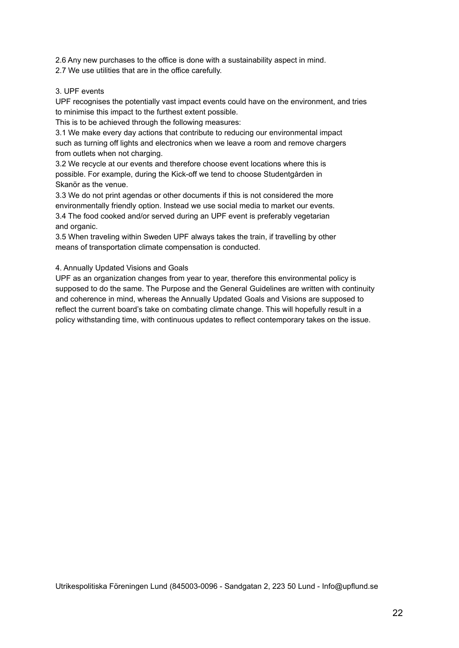2.6 Any new purchases to the office is done with a sustainability aspect in mind.

2.7 We use utilities that are in the office carefully.

#### 3. UPF events

UPF recognises the potentially vast impact events could have on the environment, and tries to minimise this impact to the furthest extent possible.

This is to be achieved through the following measures:

3.1 We make every day actions that contribute to reducing our environmental impact such as turning off lights and electronics when we leave a room and remove chargers from outlets when not charging.

3.2 We recycle at our events and therefore choose event locations where this is possible. For example, during the Kick-off we tend to choose Studentgården in Skanör as the venue.

3.3 We do not print agendas or other documents if this is not considered the more environmentally friendly option. Instead we use social media to market our events. 3.4 The food cooked and/or served during an UPF event is preferably vegetarian and organic.

3.5 When traveling within Sweden UPF always takes the train, if travelling by other means of transportation climate compensation is conducted.

#### 4. Annually Updated Visions and Goals

UPF as an organization changes from year to year, therefore this environmental policy is supposed to do the same. The Purpose and the General Guidelines are written with continuity and coherence in mind, whereas the Annually Updated Goals and Visions are supposed to reflect the current board's take on combating climate change. This will hopefully result in a policy withstanding time, with continuous updates to reflect contemporary takes on the issue.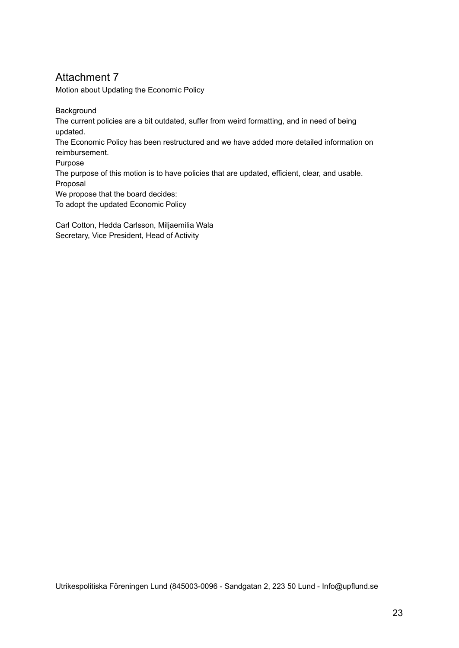Motion about Updating the Economic Policy

**Background** 

The current policies are a bit outdated, suffer from weird formatting, and in need of being updated.

The Economic Policy has been restructured and we have added more detailed information on reimbursement.

Purpose

The purpose of this motion is to have policies that are updated, efficient, clear, and usable. Proposal

We propose that the board decides:

To adopt the updated Economic Policy

Carl Cotton, Hedda Carlsson, Miljaemilia Wala Secretary, Vice President, Head of Activity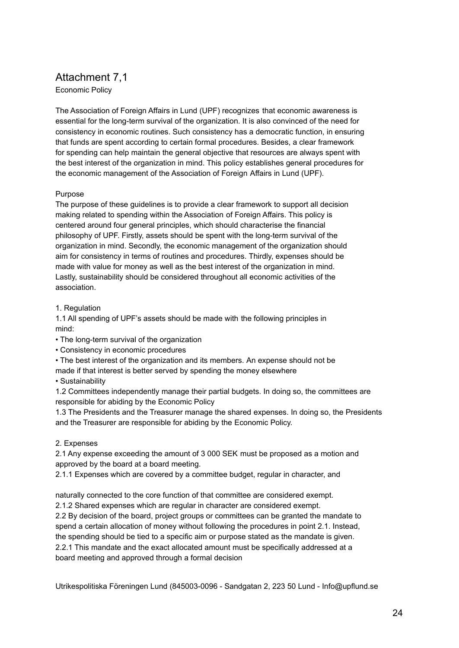## Attachment 7,1

Economic Policy

The Association of Foreign Affairs in Lund (UPF) recognizes that economic awareness is essential for the long-term survival of the organization. It is also convinced of the need for consistency in economic routines. Such consistency has a democratic function, in ensuring that funds are spent according to certain formal procedures. Besides, a clear framework for spending can help maintain the general objective that resources are always spent with the best interest of the organization in mind. This policy establishes general procedures for the economic management of the Association of Foreign Affairs in Lund (UPF).

#### Purpose

The purpose of these guidelines is to provide a clear framework to support all decision making related to spending within the Association of Foreign Affairs. This policy is centered around four general principles, which should characterise the financial philosophy of UPF. Firstly, assets should be spent with the long-term survival of the organization in mind. Secondly, the economic management of the organization should aim for consistency in terms of routines and procedures. Thirdly, expenses should be made with value for money as well as the best interest of the organization in mind. Lastly, sustainability should be considered throughout all economic activities of the association.

#### 1. Regulation

1.1 All spending of UPF's assets should be made with the following principles in mind:

- The long-term survival of the organization
- Consistency in economic procedures
- The best interest of the organization and its members. An expense should not be

made if that interest is better served by spending the money elsewhere

• Sustainability

1.2 Committees independently manage their partial budgets. In doing so, the committees are responsible for abiding by the Economic Policy

1.3 The Presidents and the Treasurer manage the shared expenses. In doing so, the Presidents and the Treasurer are responsible for abiding by the Economic Policy.

#### 2. Expenses

2.1 Any expense exceeding the amount of 3 000 SEK must be proposed as a motion and approved by the board at a board meeting.

2.1.1 Expenses which are covered by a committee budget, regular in character, and

naturally connected to the core function of that committee are considered exempt.

2.1.2 Shared expenses which are regular in character are considered exempt.

2.2 By decision of the board, project groups or committees can be granted the mandate to spend a certain allocation of money without following the procedures in point 2.1. Instead, the spending should be tied to a specific aim or purpose stated as the mandate is given. 2.2.1 This mandate and the exact allocated amount must be specifically addressed at a board meeting and approved through a formal decision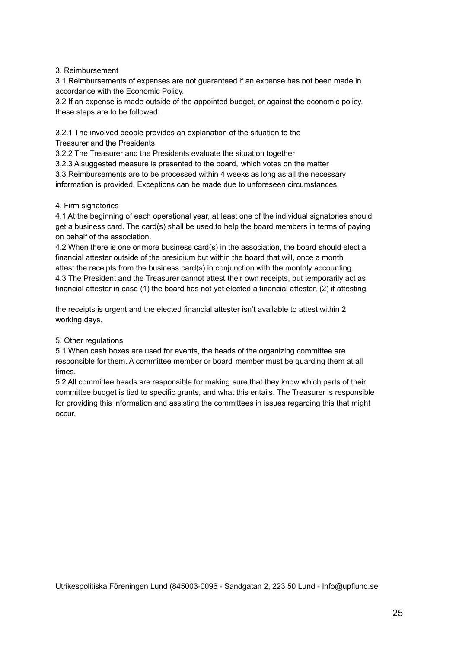#### 3. Reimbursement

3.1 Reimbursements of expenses are not guaranteed if an expense has not been made in accordance with the Economic Policy.

3.2 If an expense is made outside of the appointed budget, or against the economic policy, these steps are to be followed:

3.2.1 The involved people provides an explanation of the situation to the Treasurer and the Presidents

3.2.2 The Treasurer and the Presidents evaluate the situation together

3.2.3 A suggested measure is presented to the board, which votes on the matter

3.3 Reimbursements are to be processed within 4 weeks as long as all the necessary information is provided. Exceptions can be made due to unforeseen circumstances.

#### 4. Firm signatories

4.1 At the beginning of each operational year, at least one of the individual signatories should get a business card. The card(s) shall be used to help the board members in terms of paying on behalf of the association.

4.2 When there is one or more business card(s) in the association, the board should elect a financial attester outside of the presidium but within the board that will, once a month attest the receipts from the business card(s) in conjunction with the monthly accounting. 4.3 The President and the Treasurer cannot attest their own receipts, but temporarily act as financial attester in case (1) the board has not yet elected a financial attester, (2) if attesting

the receipts is urgent and the elected financial attester isn't available to attest within 2 working days.

#### 5. Other regulations

5.1 When cash boxes are used for events, the heads of the organizing committee are responsible for them. A committee member or board member must be guarding them at all times.

5.2 All committee heads are responsible for making sure that they know which parts of their committee budget is tied to specific grants, and what this entails. The Treasurer is responsible for providing this information and assisting the committees in issues regarding this that might occur.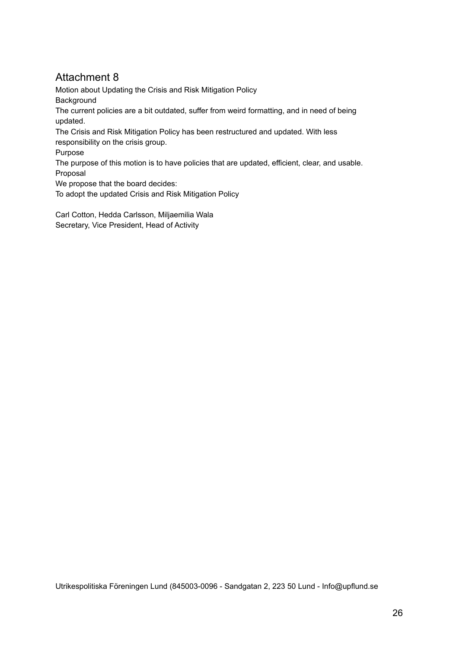Motion about Updating the Crisis and Risk Mitigation Policy **Background** The current policies are a bit outdated, suffer from weird formatting, and in need of being updated.

The Crisis and Risk Mitigation Policy has been restructured and updated. With less responsibility on the crisis group.

Purpose

The purpose of this motion is to have policies that are updated, efficient, clear, and usable. Proposal

We propose that the board decides:

To adopt the updated Crisis and Risk Mitigation Policy

Carl Cotton, Hedda Carlsson, Miljaemilia Wala Secretary, Vice President, Head of Activity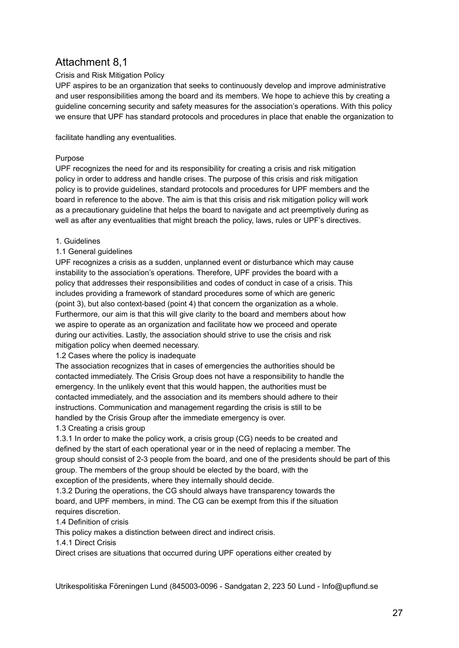## Attachment 8,1

#### Crisis and Risk Mitigation Policy

UPF aspires to be an organization that seeks to continuously develop and improve administrative and user responsibilities among the board and its members. We hope to achieve this by creating a guideline concerning security and safety measures for the association's operations. With this policy we ensure that UPF has standard protocols and procedures in place that enable the organization to

facilitate handling any eventualities.

#### Purpose

UPF recognizes the need for and its responsibility for creating a crisis and risk mitigation policy in order to address and handle crises. The purpose of this crisis and risk mitigation policy is to provide guidelines, standard protocols and procedures for UPF members and the board in reference to the above. The aim is that this crisis and risk mitigation policy will work as a precautionary guideline that helps the board to navigate and act preemptively during as well as after any eventualities that might breach the policy, laws, rules or UPF's directives.

#### 1. Guidelines

#### 1.1 General guidelines

UPF recognizes a crisis as a sudden, unplanned event or disturbance which may cause instability to the association's operations. Therefore, UPF provides the board with a policy that addresses their responsibilities and codes of conduct in case of a crisis. This includes providing a framework of standard procedures some of which are generic (point 3), but also context-based (point 4) that concern the organization as a whole. Furthermore, our aim is that this will give clarity to the board and members about how we aspire to operate as an organization and facilitate how we proceed and operate during our activities. Lastly, the association should strive to use the crisis and risk mitigation policy when deemed necessary.

1.2 Cases where the policy is inadequate

The association recognizes that in cases of emergencies the authorities should be contacted immediately. The Crisis Group does not have a responsibility to handle the emergency. In the unlikely event that this would happen, the authorities must be contacted immediately, and the association and its members should adhere to their instructions. Communication and management regarding the crisis is still to be handled by the Crisis Group after the immediate emergency is over.

#### 1.3 Creating a crisis group

1.3.1 In order to make the policy work, a crisis group (CG) needs to be created and defined by the start of each operational year or in the need of replacing a member. The group should consist of 2-3 people from the board, and one of the presidents should be part of this group. The members of the group should be elected by the board, with the exception of the presidents, where they internally should decide.

1.3.2 During the operations, the CG should always have transparency towards the board, and UPF members, in mind. The CG can be exempt from this if the situation requires discretion.

#### 1.4 Definition of crisis

This policy makes a distinction between direct and indirect crisis.

1.4.1 Direct Crisis

Direct crises are situations that occurred during UPF operations either created by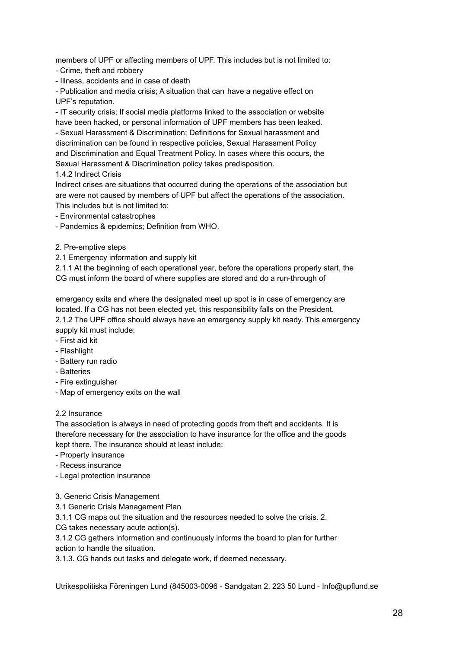members of UPF or affecting members of UPF. This includes but is not limited to:

- Crime, theft and robbery
- Illness, accidents and in case of death

- Publication and media crisis; A situation that can have a negative effect on UPF's reputation.

- IT security crisis; If social media platforms linked to the association or website have been hacked, or personal information of UPF members has been leaked. - Sexual Harassment & Discrimination; Definitions for Sexual harassment and discrimination can be found in respective policies, Sexual Harassment Policy and Discrimination and Equal Treatment Policy. In cases where this occurs, the Sexual Harassment & Discrimination policy takes predisposition.

#### 1.4.2 Indirect Crisis

Indirect crises are situations that occurred during the operations of the association but are were not caused by members of UPF but affect the operations of the association. This includes but is not limited to:

- Environmental catastrophes
- Pandemics & epidemics; Definition from WHO.
- 2. Pre-emptive steps

2.1 Emergency information and supply kit

2.1.1 At the beginning of each operational year, before the operations properly start, the CG must inform the board of where supplies are stored and do a run-through of

emergency exits and where the designated meet up spot is in case of emergency are located. If a CG has not been elected yet, this responsibility falls on the President. 2.1.2 The UPF office should always have an emergency supply kit ready. This emergency supply kit must include:

- First aid kit
- Flashlight
- Battery run radio
- Batteries
- Fire extinguisher
- Map of emergency exits on the wall

#### 2.2 Insurance

The association is always in need of protecting goods from theft and accidents. It is therefore necessary for the association to have insurance for the office and the goods kept there. The insurance should at least include:

- Property insurance
- Recess insurance
- Legal protection insurance
- 3. Generic Crisis Management
- 3.1 Generic Crisis Management Plan

3.1.1 CG maps out the situation and the resources needed to solve the crisis. 2.

CG takes necessary acute action(s).

3.1.2 CG gathers information and continuously informs the board to plan for further action to handle the situation.

3.1.3. CG hands out tasks and delegate work, if deemed necessary.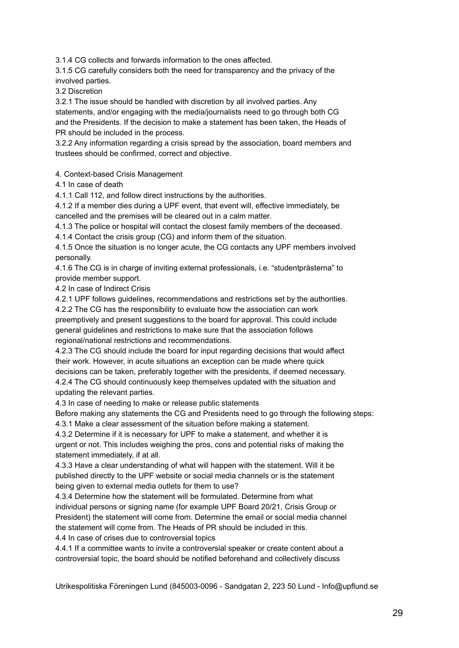3.1.4 CG collects and forwards information to the ones affected.

3.1.5 CG carefully considers both the need for transparency and the privacy of the involved parties.

3.2 Discretion

3.2.1 The issue should be handled with discretion by all involved parties. Any statements, and/or engaging with the media/journalists need to go through both CG and the Presidents. If the decision to make a statement has been taken, the Heads of PR should be included in the process.

3.2.2 Any information regarding a crisis spread by the association, board members and trustees should be confirmed, correct and objective.

4. Context-based Crisis Management

4.1 In case of death

4.1.1 Call 112, and follow direct instructions by the authorities.

4.1.2 If a member dies during a UPF event, that event will, effective immediately, be cancelled and the premises will be cleared out in a calm matter.

4.1.3 The police or hospital will contact the closest family members of the deceased.

4.1.4 Contact the crisis group (CG) and inform them of the situation.

4.1.5 Once the situation is no longer acute, the CG contacts any UPF members involved personally.

4.1.6 The CG is in charge of inviting external professionals, i.e. "studentprästerna" to provide member support.

4.2 In case of Indirect Crisis

4.2.1 UPF follows guidelines, recommendations and restrictions set by the authorities. 4.2.2 The CG has the responsibility to evaluate how the association can work

preemptively and present suggestions to the board for approval. This could include general guidelines and restrictions to make sure that the association follows regional/national restrictions and recommendations.

4.2.3 The CG should include the board for input regarding decisions that would affect their work. However, in acute situations an exception can be made where quick decisions can be taken, preferably together with the presidents, if deemed necessary. 4.2.4 The CG should continuously keep themselves updated with the situation and updating the relevant parties.

4.3 In case of needing to make or release public statements

Before making any statements the CG and Presidents need to go through the following steps:

4.3.1 Make a clear assessment of the situation before making a statement.

4.3.2 Determine if it is necessary for UPF to make a statement, and whether it is urgent or not. This includes weighing the pros, cons and potential risks of making the statement immediately, if at all.

4.3.3 Have a clear understanding of what will happen with the statement. Will it be published directly to the UPF website or social media channels or is the statement being given to external media outlets for them to use?

4.3.4 Determine how the statement will be formulated. Determine from what individual persons or signing name (for example UPF Board 20/21, Crisis Group or President) the statement will come from. Determine the email or social media channel the statement will come from. The Heads of PR should be included in this.

4.4 In case of crises due to controversial topics

4.4.1 If a committee wants to invite a controversial speaker or create content about a controversial topic, the board should be notified beforehand and collectively discuss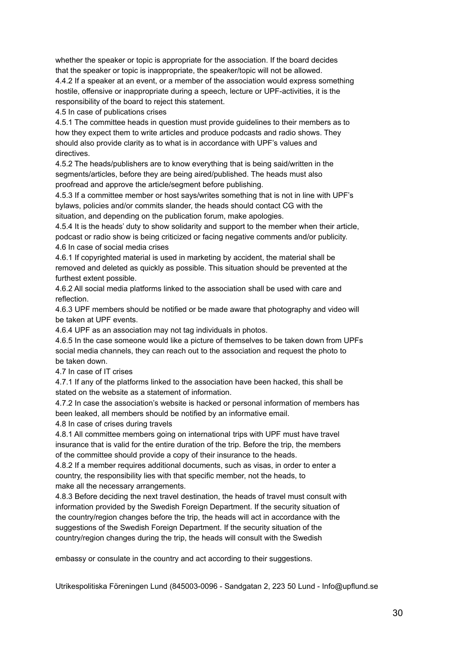whether the speaker or topic is appropriate for the association. If the board decides that the speaker or topic is inappropriate, the speaker/topic will not be allowed. 4.4.2 If a speaker at an event, or a member of the association would express something hostile, offensive or inappropriate during a speech, lecture or UPF-activities, it is the responsibility of the board to reject this statement.

4.5 In case of publications crises

4.5.1 The committee heads in question must provide guidelines to their members as to how they expect them to write articles and produce podcasts and radio shows. They should also provide clarity as to what is in accordance with UPF's values and directives.

4.5.2 The heads/publishers are to know everything that is being said/written in the segments/articles, before they are being aired/published. The heads must also proofread and approve the article/segment before publishing.

4.5.3 If a committee member or host says/writes something that is not in line with UPF's bylaws, policies and/or commits slander, the heads should contact CG with the situation, and depending on the publication forum, make apologies.

4.5.4 It is the heads' duty to show solidarity and support to the member when their article, podcast or radio show is being criticized or facing negative comments and/or publicity. 4.6 In case of social media crises

4.6.1 If copyrighted material is used in marketing by accident, the material shall be removed and deleted as quickly as possible. This situation should be prevented at the furthest extent possible.

4.6.2 All social media platforms linked to the association shall be used with care and reflection.

4.6.3 UPF members should be notified or be made aware that photography and video will be taken at UPF events.

4.6.4 UPF as an association may not tag individuals in photos.

4.6.5 In the case someone would like a picture of themselves to be taken down from UPFs social media channels, they can reach out to the association and request the photo to be taken down.

4.7 In case of IT crises

4.7.1 If any of the platforms linked to the association have been hacked, this shall be stated on the website as a statement of information.

4.7.2 In case the association's website is hacked or personal information of members has been leaked, all members should be notified by an informative email.

4.8 In case of crises during travels

4.8.1 All committee members going on international trips with UPF must have travel insurance that is valid for the entire duration of the trip. Before the trip, the members of the committee should provide a copy of their insurance to the heads.

4.8.2 If a member requires additional documents, such as visas, in order to enter a country, the responsibility lies with that specific member, not the heads, to make all the necessary arrangements.

4.8.3 Before deciding the next travel destination, the heads of travel must consult with information provided by the Swedish Foreign Department. If the security situation of the country/region changes before the trip, the heads will act in accordance with the suggestions of the Swedish Foreign Department. If the security situation of the country/region changes during the trip, the heads will consult with the Swedish

embassy or consulate in the country and act according to their suggestions.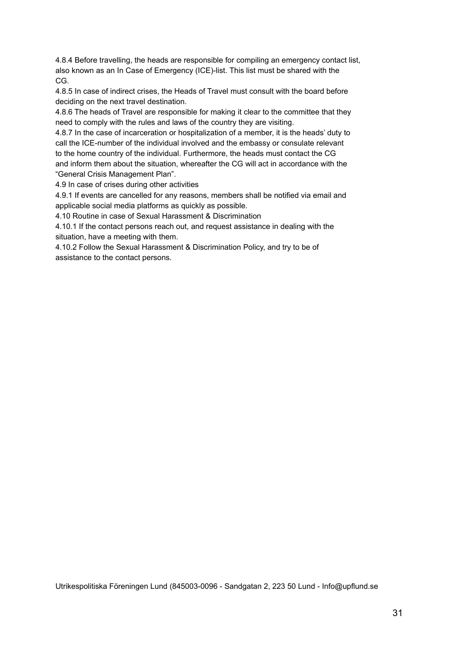4.8.4 Before travelling, the heads are responsible for compiling an emergency contact list, also known as an In Case of Emergency (ICE)-list. This list must be shared with the CG.

4.8.5 In case of indirect crises, the Heads of Travel must consult with the board before deciding on the next travel destination.

4.8.6 The heads of Travel are responsible for making it clear to the committee that they need to comply with the rules and laws of the country they are visiting.

4.8.7 In the case of incarceration or hospitalization of a member, it is the heads' duty to call the ICE-number of the individual involved and the embassy or consulate relevant to the home country of the individual. Furthermore, the heads must contact the CG and inform them about the situation, whereafter the CG will act in accordance with the "General Crisis Management Plan".

4.9 In case of crises during other activities

4.9.1 If events are cancelled for any reasons, members shall be notified via email and applicable social media platforms as quickly as possible.

4.10 Routine in case of Sexual Harassment & Discrimination

4.10.1 If the contact persons reach out, and request assistance in dealing with the situation, have a meeting with them.

4.10.2 Follow the Sexual Harassment & Discrimination Policy, and try to be of assistance to the contact persons.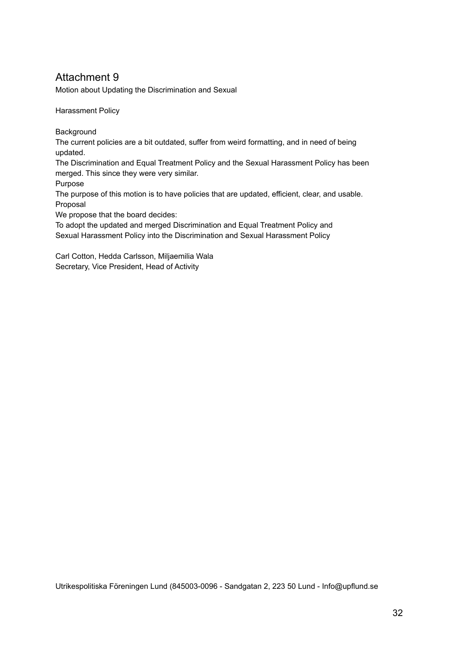Motion about Updating the Discrimination and Sexual

Harassment Policy

**Background** 

The current policies are a bit outdated, suffer from weird formatting, and in need of being updated.

The Discrimination and Equal Treatment Policy and the Sexual Harassment Policy has been merged. This since they were very similar.

Purpose

The purpose of this motion is to have policies that are updated, efficient, clear, and usable. Proposal

We propose that the board decides:

To adopt the updated and merged Discrimination and Equal Treatment Policy and Sexual Harassment Policy into the Discrimination and Sexual Harassment Policy

Carl Cotton, Hedda Carlsson, Miljaemilia Wala Secretary, Vice President, Head of Activity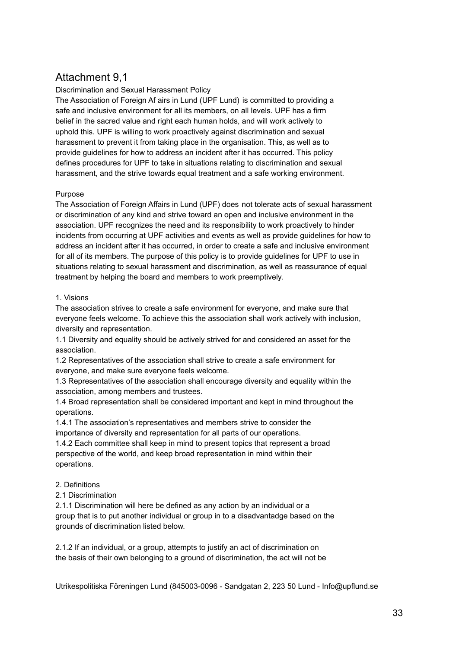## Attachment 9,1

#### Discrimination and Sexual Harassment Policy

The Association of Foreign Af airs in Lund (UPF Lund) is committed to providing a safe and inclusive environment for all its members, on all levels. UPF has a firm belief in the sacred value and right each human holds, and will work actively to uphold this. UPF is willing to work proactively against discrimination and sexual harassment to prevent it from taking place in the organisation. This, as well as to provide guidelines for how to address an incident after it has occurred. This policy defines procedures for UPF to take in situations relating to discrimination and sexual harassment, and the strive towards equal treatment and a safe working environment.

#### Purpose

The Association of Foreign Affairs in Lund (UPF) does not tolerate acts of sexual harassment or discrimination of any kind and strive toward an open and inclusive environment in the association. UPF recognizes the need and its responsibility to work proactively to hinder incidents from occurring at UPF activities and events as well as provide guidelines for how to address an incident after it has occurred, in order to create a safe and inclusive environment for all of its members. The purpose of this policy is to provide guidelines for UPF to use in situations relating to sexual harassment and discrimination, as well as reassurance of equal treatment by helping the board and members to work preemptively.

#### 1. Visions

The association strives to create a safe environment for everyone, and make sure that everyone feels welcome. To achieve this the association shall work actively with inclusion, diversity and representation.

1.1 Diversity and equality should be actively strived for and considered an asset for the association.

1.2 Representatives of the association shall strive to create a safe environment for everyone, and make sure everyone feels welcome.

1.3 Representatives of the association shall encourage diversity and equality within the association, among members and trustees.

1.4 Broad representation shall be considered important and kept in mind throughout the operations.

1.4.1 The association's representatives and members strive to consider the importance of diversity and representation for all parts of our operations.

1.4.2 Each committee shall keep in mind to present topics that represent a broad perspective of the world, and keep broad representation in mind within their operations.

#### 2. Definitions

2.1 Discrimination

2.1.1 Discrimination will here be defined as any action by an individual or a group that is to put another individual or group in to a disadvantadge based on the grounds of discrimination listed below.

2.1.2 If an individual, or a group, attempts to justify an act of discrimination on the basis of their own belonging to a ground of discrimination, the act will not be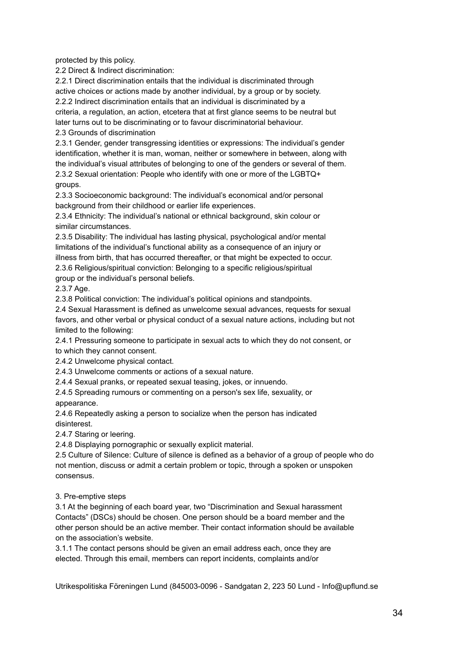protected by this policy.

2.2 Direct & Indirect discrimination:

2.2.1 Direct discrimination entails that the individual is discriminated through active choices or actions made by another individual, by a group or by society. 2.2.2 Indirect discrimination entails that an individual is discriminated by a criteria, a regulation, an action, etcetera that at first glance seems to be neutral but later turns out to be discriminating or to favour discriminatorial behaviour. 2.3 Grounds of discrimination

2.3.1 Gender, gender transgressing identities or expressions: The individual's gender identification, whether it is man, woman, neither or somewhere in between, along with the individual's visual attributes of belonging to one of the genders or several of them. 2.3.2 Sexual orientation: People who identify with one or more of the LGBTQ+ groups.

2.3.3 Socioeconomic background: The individual's economical and/or personal background from their childhood or earlier life experiences.

2.3.4 Ethnicity: The individual's national or ethnical background, skin colour or similar circumstances.

2.3.5 Disability: The individual has lasting physical, psychological and/or mental limitations of the individual's functional ability as a consequence of an injury or illness from birth, that has occurred thereafter, or that might be expected to occur. 2.3.6 Religious/spiritual conviction: Belonging to a specific religious/spiritual

group or the individual's personal beliefs.

2.3.7 Age.

2.3.8 Political conviction: The individual's political opinions and standpoints.

2.4 Sexual Harassment is defined as unwelcome sexual advances, requests for sexual favors, and other verbal or physical conduct of a sexual nature actions, including but not limited to the following:

2.4.1 Pressuring someone to participate in sexual acts to which they do not consent, or to which they cannot consent.

2.4.2 Unwelcome physical contact.

2.4.3 Unwelcome comments or actions of a sexual nature.

2.4.4 Sexual pranks, or repeated sexual teasing, jokes, or innuendo.

2.4.5 Spreading rumours or commenting on a person's sex life, sexuality, or appearance.

2.4.6 Repeatedly asking a person to socialize when the person has indicated disinterest.

2.4.7 Staring or leering.

2.4.8 Displaying pornographic or sexually explicit material.

2.5 Culture of Silence: Culture of silence is defined as a behavior of a group of people who do not mention, discuss or admit a certain problem or topic, through a spoken or unspoken consensus.

3. Pre-emptive steps

3.1 At the beginning of each board year, two "Discrimination and Sexual harassment Contacts" (DSCs) should be chosen. One person should be a board member and the other person should be an active member. Their contact information should be available on the association's website.

3.1.1 The contact persons should be given an email address each, once they are elected. Through this email, members can report incidents, complaints and/or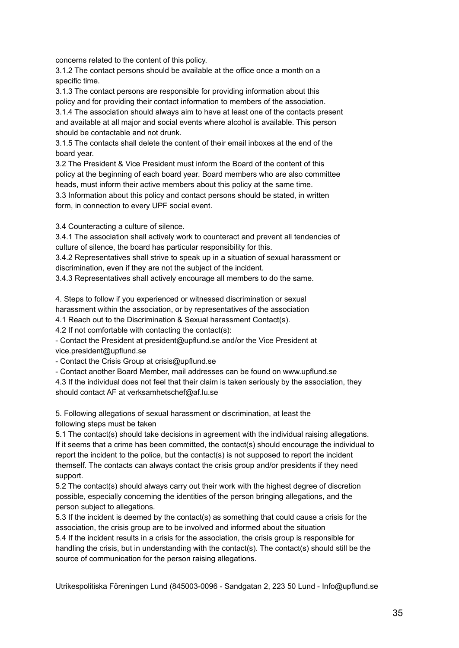concerns related to the content of this policy.

3.1.2 The contact persons should be available at the office once a month on a specific time.

3.1.3 The contact persons are responsible for providing information about this policy and for providing their contact information to members of the association.

3.1.4 The association should always aim to have at least one of the contacts present and available at all major and social events where alcohol is available. This person should be contactable and not drunk.

3.1.5 The contacts shall delete the content of their email inboxes at the end of the board year.

3.2 The President & Vice President must inform the Board of the content of this policy at the beginning of each board year. Board members who are also committee heads, must inform their active members about this policy at the same time.

3.3 Information about this policy and contact persons should be stated, in written form, in connection to every UPF social event.

3.4 Counteracting a culture of silence.

3.4.1 The association shall actively work to counteract and prevent all tendencies of culture of silence, the board has particular responsibility for this.

3.4.2 Representatives shall strive to speak up in a situation of sexual harassment or discrimination, even if they are not the subject of the incident.

3.4.3 Representatives shall actively encourage all members to do the same.

4. Steps to follow if you experienced or witnessed discrimination or sexual

harassment within the association, or by representatives of the association

4.1 Reach out to the Discrimination & Sexual harassment Contact(s).

4.2 If not comfortable with contacting the contact(s):

- Contact the President at president@upflund.se and/or the Vice President at vice.president@upflund.se

- Contact the Crisis Group at crisis@upflund.se

- Contact another Board Member, mail addresses can be found on www.upflund.se

4.3 If the individual does not feel that their claim is taken seriously by the association, they should contact AF at verksamhetschef@af.lu.se

5. Following allegations of sexual harassment or discrimination, at least the following steps must be taken

5.1 The contact(s) should take decisions in agreement with the individual raising allegations. If it seems that a crime has been committed, the contact(s) should encourage the individual to report the incident to the police, but the contact(s) is not supposed to report the incident themself. The contacts can always contact the crisis group and/or presidents if they need support.

5.2 The contact(s) should always carry out their work with the highest degree of discretion possible, especially concerning the identities of the person bringing allegations, and the person subject to allegations.

5.3 If the incident is deemed by the contact(s) as something that could cause a crisis for the association, the crisis group are to be involved and informed about the situation 5.4 If the incident results in a crisis for the association, the crisis group is responsible for handling the crisis, but in understanding with the contact(s). The contact(s) should still be the source of communication for the person raising allegations.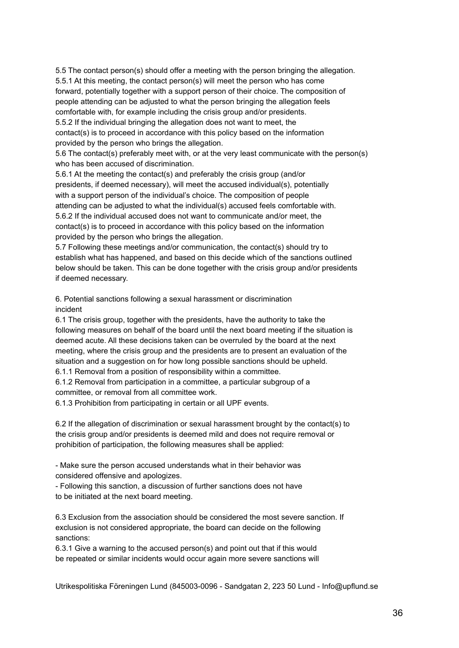5.5 The contact person(s) should offer a meeting with the person bringing the allegation. 5.5.1 At this meeting, the contact person(s) will meet the person who has come forward, potentially together with a support person of their choice. The composition of people attending can be adjusted to what the person bringing the allegation feels comfortable with, for example including the crisis group and/or presidents. 5.5.2 If the individual bringing the allegation does not want to meet, the contact(s) is to proceed in accordance with this policy based on the information provided by the person who brings the allegation.

5.6 The contact(s) preferably meet with, or at the very least communicate with the person(s) who has been accused of discrimination.

5.6.1 At the meeting the contact(s) and preferably the crisis group (and/or presidents, if deemed necessary), will meet the accused individual(s), potentially with a support person of the individual's choice. The composition of people attending can be adjusted to what the individual(s) accused feels comfortable with. 5.6.2 If the individual accused does not want to communicate and/or meet, the contact(s) is to proceed in accordance with this policy based on the information provided by the person who brings the allegation.

5.7 Following these meetings and/or communication, the contact(s) should try to establish what has happened, and based on this decide which of the sanctions outlined below should be taken. This can be done together with the crisis group and/or presidents if deemed necessary.

6. Potential sanctions following a sexual harassment or discrimination incident

6.1 The crisis group, together with the presidents, have the authority to take the following measures on behalf of the board until the next board meeting if the situation is deemed acute. All these decisions taken can be overruled by the board at the next meeting, where the crisis group and the presidents are to present an evaluation of the situation and a suggestion on for how long possible sanctions should be upheld.

6.1.1 Removal from a position of responsibility within a committee.

6.1.2 Removal from participation in a committee, a particular subgroup of a committee, or removal from all committee work.

6.1.3 Prohibition from participating in certain or all UPF events.

6.2 If the allegation of discrimination or sexual harassment brought by the contact(s) to the crisis group and/or presidents is deemed mild and does not require removal or prohibition of participation, the following measures shall be applied:

- Make sure the person accused understands what in their behavior was considered offensive and apologizes.

- Following this sanction, a discussion of further sanctions does not have to be initiated at the next board meeting.

6.3 Exclusion from the association should be considered the most severe sanction. If exclusion is not considered appropriate, the board can decide on the following sanctions:

6.3.1 Give a warning to the accused person(s) and point out that if this would be repeated or similar incidents would occur again more severe sanctions will